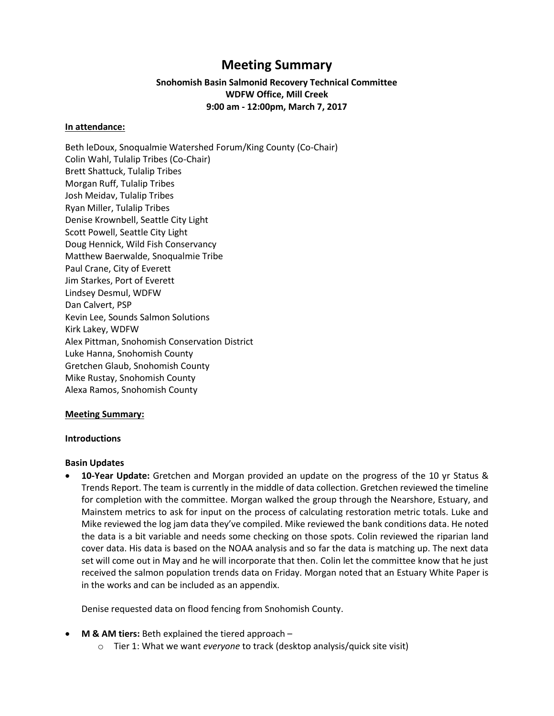# **Meeting Summary**

# **Snohomish Basin Salmonid Recovery Technical Committee WDFW Office, Mill Creek 9:00 am - 12:00pm, March 7, 2017**

#### **In attendance:**

Beth leDoux, Snoqualmie Watershed Forum/King County (Co-Chair) Colin Wahl, Tulalip Tribes (Co-Chair) Brett Shattuck, Tulalip Tribes Morgan Ruff, Tulalip Tribes Josh Meidav, Tulalip Tribes Ryan Miller, Tulalip Tribes Denise Krownbell, Seattle City Light Scott Powell, Seattle City Light Doug Hennick, Wild Fish Conservancy Matthew Baerwalde, Snoqualmie Tribe Paul Crane, City of Everett Jim Starkes, Port of Everett Lindsey Desmul, WDFW Dan Calvert, PSP Kevin Lee, Sounds Salmon Solutions Kirk Lakey, WDFW Alex Pittman, Snohomish Conservation District Luke Hanna, Snohomish County Gretchen Glaub, Snohomish County Mike Rustay, Snohomish County Alexa Ramos, Snohomish County

## **Meeting Summary:**

#### **Introductions**

#### **Basin Updates**

 **10-Year Update:** Gretchen and Morgan provided an update on the progress of the 10 yr Status & Trends Report. The team is currently in the middle of data collection. Gretchen reviewed the timeline for completion with the committee. Morgan walked the group through the Nearshore, Estuary, and Mainstem metrics to ask for input on the process of calculating restoration metric totals. Luke and Mike reviewed the log jam data they've compiled. Mike reviewed the bank conditions data. He noted the data is a bit variable and needs some checking on those spots. Colin reviewed the riparian land cover data. His data is based on the NOAA analysis and so far the data is matching up. The next data set will come out in May and he will incorporate that then. Colin let the committee know that he just received the salmon population trends data on Friday. Morgan noted that an Estuary White Paper is in the works and can be included as an appendix.

Denise requested data on flood fencing from Snohomish County.

- **M & AM tiers:** Beth explained the tiered approach
	- o Tier 1: What we want *everyone* to track (desktop analysis/quick site visit)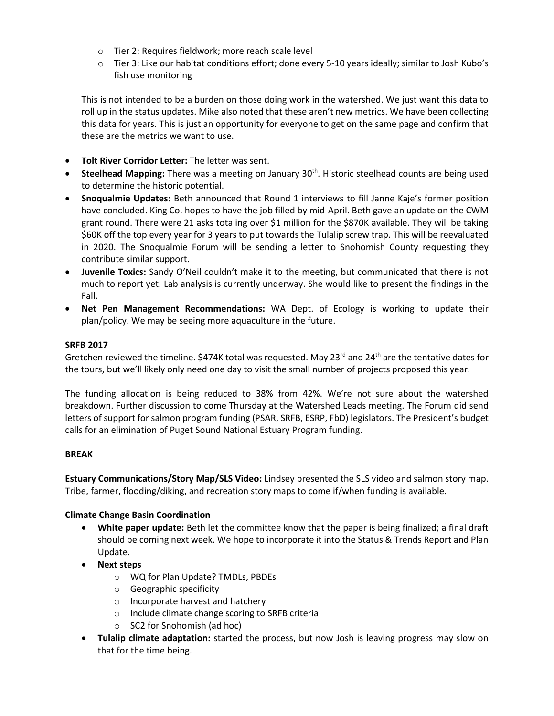- o Tier 2: Requires fieldwork; more reach scale level
- o Tier 3: Like our habitat conditions effort; done every 5-10 years ideally; similar to Josh Kubo's fish use monitoring

This is not intended to be a burden on those doing work in the watershed. We just want this data to roll up in the status updates. Mike also noted that these aren't new metrics. We have been collecting this data for years. This is just an opportunity for everyone to get on the same page and confirm that these are the metrics we want to use.

- **Tolt River Corridor Letter:** The letter was sent.
- **Steelhead Mapping:** There was a meeting on January 30<sup>th</sup>. Historic steelhead counts are being used to determine the historic potential.
- **Snoqualmie Updates:** Beth announced that Round 1 interviews to fill Janne Kaje's former position have concluded. King Co. hopes to have the job filled by mid-April. Beth gave an update on the CWM grant round. There were 21 asks totaling over \$1 million for the \$870K available. They will be taking \$60K off the top every year for 3 years to put towards the Tulalip screw trap. This will be reevaluated in 2020. The Snoqualmie Forum will be sending a letter to Snohomish County requesting they contribute similar support.
- **Juvenile Toxics:** Sandy O'Neil couldn't make it to the meeting, but communicated that there is not much to report yet. Lab analysis is currently underway. She would like to present the findings in the Fall.
- **Net Pen Management Recommendations:** WA Dept. of Ecology is working to update their plan/policy. We may be seeing more aquaculture in the future.

## **SRFB 2017**

Gretchen reviewed the timeline. \$474K total was requested. May 23 $^{rd}$  and 24<sup>th</sup> are the tentative dates for the tours, but we'll likely only need one day to visit the small number of projects proposed this year.

The funding allocation is being reduced to 38% from 42%. We're not sure about the watershed breakdown. Further discussion to come Thursday at the Watershed Leads meeting. The Forum did send letters of support for salmon program funding (PSAR, SRFB, ESRP, FbD) legislators. The President's budget calls for an elimination of Puget Sound National Estuary Program funding.

## **BREAK**

**Estuary Communications/Story Map/SLS Video:** Lindsey presented the SLS video and salmon story map. Tribe, farmer, flooding/diking, and recreation story maps to come if/when funding is available.

## **Climate Change Basin Coordination**

- **White paper update:** Beth let the committee know that the paper is being finalized; a final draft should be coming next week. We hope to incorporate it into the Status & Trends Report and Plan Update.
- **Next steps**
	- o WQ for Plan Update? TMDLs, PBDEs
	- o Geographic specificity
	- o Incorporate harvest and hatchery
	- o Include climate change scoring to SRFB criteria
	- o SC2 for Snohomish (ad hoc)
- **Tulalip climate adaptation:** started the process, but now Josh is leaving progress may slow on that for the time being.